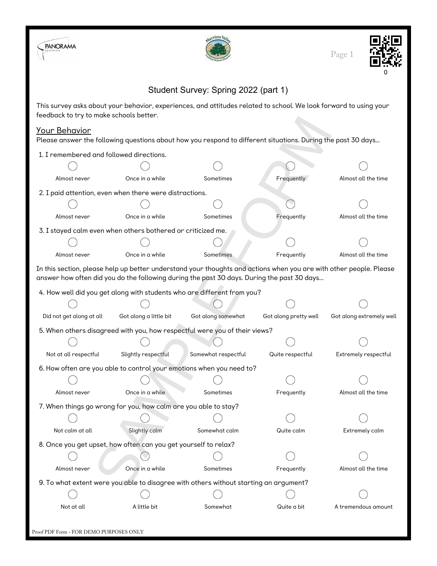